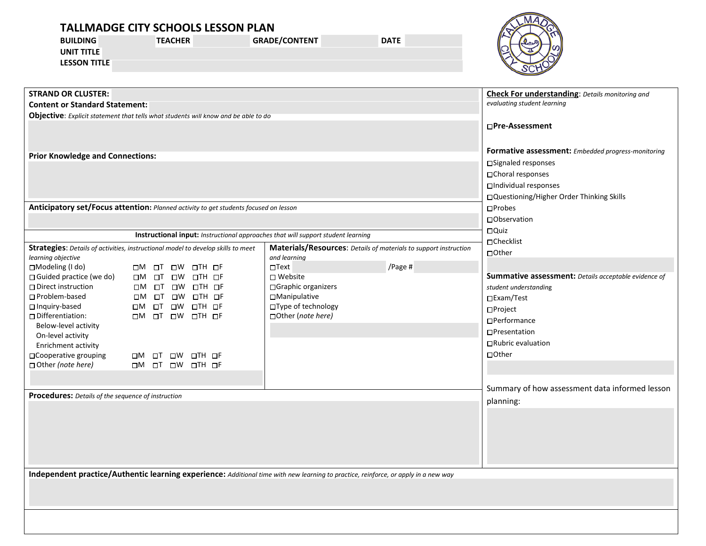| <b>BUILDING</b><br><b>UNIT TITLE</b><br><b>LESSON TITLE</b>                                                                                                 | <b>TALLMADGE CITY SCHOOLS LESSON PLAN</b><br><b>TEACHER</b>     | <b>GRADE/CONTENT</b> | <b>DATE</b> |                                                        |
|-------------------------------------------------------------------------------------------------------------------------------------------------------------|-----------------------------------------------------------------|----------------------|-------------|--------------------------------------------------------|
| <b>STRAND OR CLUSTER:</b>                                                                                                                                   |                                                                 |                      |             | <b>Check For understanding:</b> Details monitoring and |
| <b>Content or Standard Statement:</b>                                                                                                                       |                                                                 |                      |             | evaluating student learning                            |
| <b>Objective:</b> Explicit statement that tells what students will know and be able to do                                                                   |                                                                 |                      |             |                                                        |
|                                                                                                                                                             |                                                                 |                      |             | □Pre-Assessment                                        |
| <b>Prior Knowledge and Connections:</b>                                                                                                                     |                                                                 |                      |             | Formative assessment: Embedded progress-monitoring     |
|                                                                                                                                                             |                                                                 |                      |             | □Signaled responses                                    |
|                                                                                                                                                             |                                                                 |                      |             | □Choral responses                                      |
|                                                                                                                                                             |                                                                 |                      |             | □Individual responses                                  |
|                                                                                                                                                             |                                                                 |                      |             | □Questioning/Higher Order Thinking Skills              |
| Anticipatory set/Focus attention: Planned activity to get students focused on lesson                                                                        |                                                                 |                      |             | $\square$ Probes                                       |
|                                                                                                                                                             |                                                                 |                      |             | □ Observation                                          |
|                                                                                                                                                             |                                                                 |                      |             | □Quiz                                                  |
| Instructional input: Instructional approaches that will support student learning                                                                            |                                                                 |                      |             | $\Box$ Checklist                                       |
| Materials/Resources: Details of materials to support instruction<br><b>Strategies:</b> Details of activities, instructional model to develop skills to meet |                                                                 |                      |             | $\Box$ Other                                           |
| learning objective                                                                                                                                          |                                                                 | and learning         |             |                                                        |
| □Modeling (I do)                                                                                                                                            | $\square$ TH $\square$ F<br>ΠM<br>OТ<br>$\square W$             | $\Box$ Text          | /Page #     |                                                        |
| □ Guided practice (we do)                                                                                                                                   | ПM<br>OTH OF<br>⊡⊤<br>$\square W$                               | $\Box$ Website       |             | Summative assessment: Details acceptable evidence of   |
| $\Box$ Direct instruction                                                                                                                                   | ПM<br>$\Box$ T<br>$\square$ W<br>$\square$ TH $\square$ F       | □Graphic organizers  |             | student understanding                                  |
| □ Problem-based                                                                                                                                             | $\square W$ $\square TH$ $\square F$<br>$\square M$<br>$\Box$ T | □Manipulative        |             | □Exam/Test                                             |
| $\Box$ Inquiry-based                                                                                                                                        | $DM$ ot ow oth of                                               | □Type of technology  |             | $\square$ Project                                      |
| $\Box$ Differentiation:                                                                                                                                     | $\Box$ M $\Box$ T $\Box$ W $\Box$ TH $\Box$ F                   | □ Other (note here)  |             | □Performance                                           |
| Below-level activity                                                                                                                                        |                                                                 |                      |             | $\square$ Presentation                                 |
| On-level activity<br>Enrichment activity                                                                                                                    |                                                                 |                      |             | □ Rubric evaluation                                    |
| □ Cooperative grouping                                                                                                                                      | $\square W$ $\square TH$ $\square F$<br>$\Box$ M $\Box$ T       |                      |             | □Other                                                 |
| □ Other (note here)                                                                                                                                         | OM OT OW OTH OF                                                 |                      |             |                                                        |
|                                                                                                                                                             |                                                                 |                      |             |                                                        |
|                                                                                                                                                             |                                                                 |                      |             |                                                        |
| Procedures: Details of the sequence of instruction                                                                                                          |                                                                 |                      |             | Summary of how assessment data informed lesson         |
|                                                                                                                                                             |                                                                 |                      |             | planning:                                              |
|                                                                                                                                                             |                                                                 |                      |             |                                                        |
|                                                                                                                                                             |                                                                 |                      |             |                                                        |
|                                                                                                                                                             |                                                                 |                      |             |                                                        |
|                                                                                                                                                             |                                                                 |                      |             |                                                        |
|                                                                                                                                                             |                                                                 |                      |             |                                                        |
|                                                                                                                                                             |                                                                 |                      |             |                                                        |
| Independent practice/Authentic learning experience: Additional time with new learning to practice, reinforce, or apply in a new way                         |                                                                 |                      |             |                                                        |
|                                                                                                                                                             |                                                                 |                      |             |                                                        |
|                                                                                                                                                             |                                                                 |                      |             |                                                        |